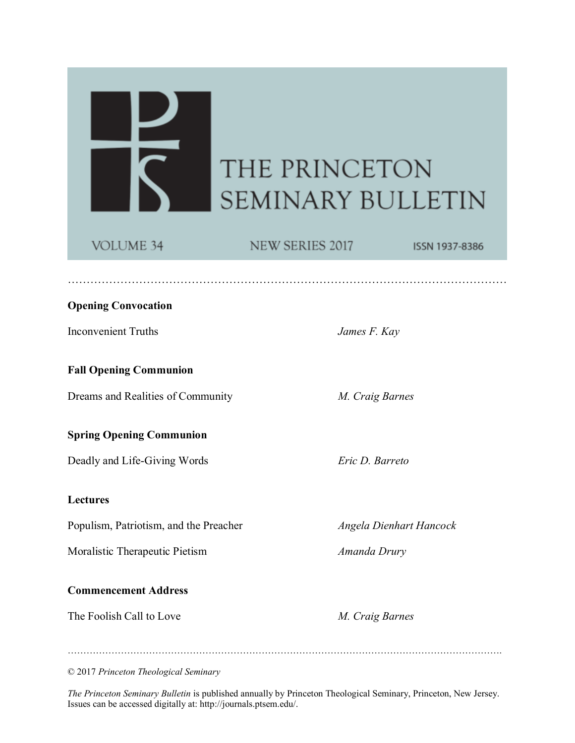# THE PRINCETON **SEMINARY BULLETIN**

# VOLUME 34

 $\frac{\mathbf{p}}{\mathbf{S}}$ 

NEW SERIES 2017

………………………………………………………………………………………………………

ISSN 1937-8386

# **Opening Convocation**

Inconvenient Truths *James F. Kay*

**Fall Opening Communion**

Dreams and Realities of Community *M. Craig Barnes*

# **Spring Opening Communion**

Deadly and Life-Giving Words *Eric D. Barreto*

# **Lectures**

Populism, Patriotism, and the Preacher *Angela Dienhart Hancock*

Moralistic Therapeutic Pietism *Amanda Drury*

# **Commencement Address**

The Foolish Call to Love *M. Craig Barnes*

© 2017 *Princeton Theological Seminary*

*The Princeton Seminary Bulletin* is published annually by Princeton Theological Seminary, Princeton, New Jersey. Issues can be accessed digitally at: http://journals.ptsem.edu/.

………………………………………………………………………………………………………………………….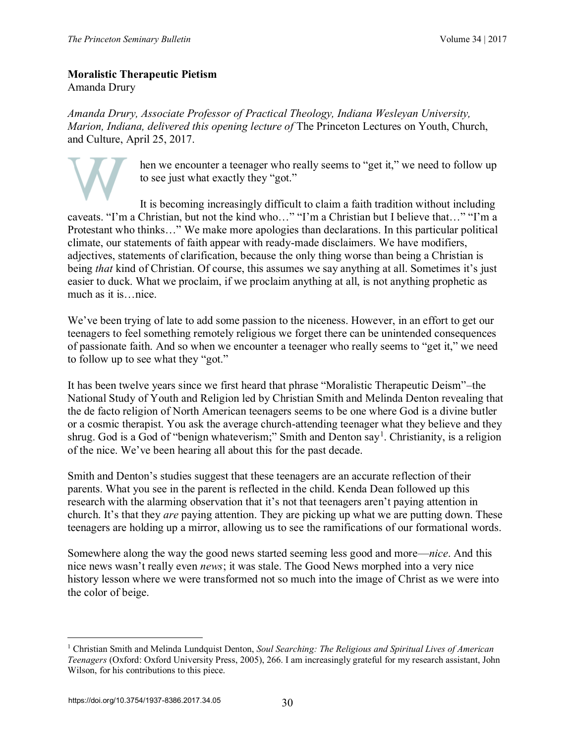#### **Moralistic Therapeutic Pietism** Amanda Drury

*Amanda Drury, Associate Professor of Practical Theology, Indiana Wesleyan University, Marion, Indiana, delivered this opening lecture of* The Princeton Lectures on Youth, Church, and Culture, April 25, 2017.

> hen we encounter a teenager who really seems to "get it," we need to follow up to see just what exactly they "got."

It is becoming increasingly difficult to claim a faith tradition without including caveats. "I'm a Christian, but not the kind who…" "I'm a Christian but I believe that…" "I'm a Protestant who thinks…" We make more apologies than declarations. In this particular political climate, our statements of faith appear with ready-made disclaimers. We have modifiers, adjectives, statements of clarification, because the only thing worse than being a Christian is being *that* kind of Christian. Of course, this assumes we say anything at all. Sometimes it's just easier to duck. What we proclaim, if we proclaim anything at all, is not anything prophetic as much as it is…nice.

We've been trying of late to add some passion to the niceness. However, in an effort to get our teenagers to feel something remotely religious we forget there can be unintended consequences of passionate faith. And so when we encounter a teenager who really seems to "get it," we need to follow up to see what they "got."

It has been twelve years since we first heard that phrase "Moralistic Therapeutic Deism"–the National Study of Youth and Religion led by Christian Smith and Melinda Denton revealing that the de facto religion of North American teenagers seems to be one where God is a divine butler or a cosmic therapist. You ask the average church-attending teenager what they believe and they shrug. God is a God of "benign whateverism;" Smith and Denton say<sup>1</sup>. Christianity, is a religion of the nice. We've been hearing all about this for the past decade.

Smith and Denton's studies suggest that these teenagers are an accurate reflection of their parents. What you see in the parent is reflected in the child. Kenda Dean followed up this research with the alarming observation that it's not that teenagers aren't paying attention in church. It's that they *are* paying attention. They are picking up what we are putting down. These teenagers are holding up a mirror, allowing us to see the ramifications of our formational words.

Somewhere along the way the good news started seeming less good and more—*nice*. And this nice news wasn't really even *news*; it was stale. The Good News morphed into a very nice history lesson where we were transformed not so much into the image of Christ as we were into the color of beige.

 $\overline{a}$ 

<sup>1</sup> Christian Smith and Melinda Lundquist Denton, *Soul Searching: The Religious and Spiritual Lives of American Teenagers* (Oxford: Oxford University Press, 2005), 266. I am increasingly grateful for my research assistant, John Wilson, for his contributions to this piece.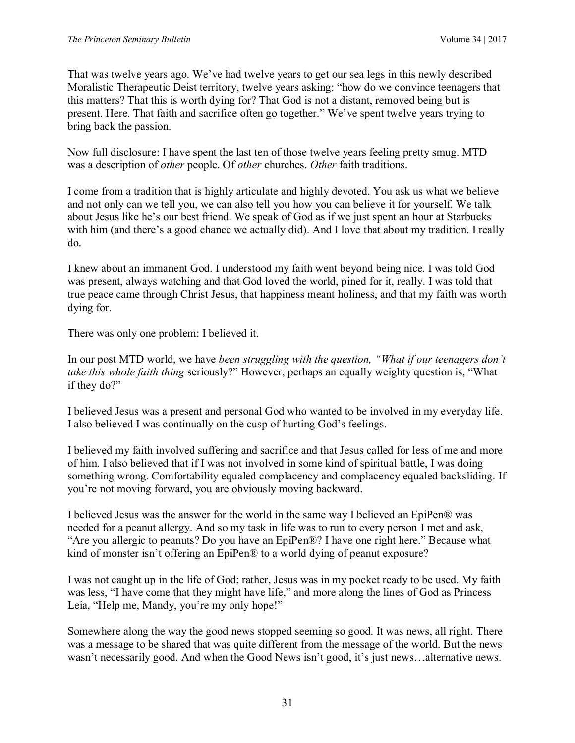That was twelve years ago. We've had twelve years to get our sea legs in this newly described Moralistic Therapeutic Deist territory, twelve years asking: "how do we convince teenagers that this matters? That this is worth dying for? That God is not a distant, removed being but is present. Here. That faith and sacrifice often go together." We've spent twelve years trying to bring back the passion.

Now full disclosure: I have spent the last ten of those twelve years feeling pretty smug. MTD was a description of *other* people. Of *other* churches. *Other* faith traditions.

I come from a tradition that is highly articulate and highly devoted. You ask us what we believe and not only can we tell you, we can also tell you how you can believe it for yourself. We talk about Jesus like he's our best friend. We speak of God as if we just spent an hour at Starbucks with him (and there's a good chance we actually did). And I love that about my tradition. I really do.

I knew about an immanent God. I understood my faith went beyond being nice. I was told God was present, always watching and that God loved the world, pined for it, really. I was told that true peace came through Christ Jesus, that happiness meant holiness, and that my faith was worth dying for.

There was only one problem: I believed it.

In our post MTD world, we have *been struggling with the question, "What if our teenagers don't take this whole faith thing* seriously?" However, perhaps an equally weighty question is, "What if they do?"

I believed Jesus was a present and personal God who wanted to be involved in my everyday life. I also believed I was continually on the cusp of hurting God's feelings.

I believed my faith involved suffering and sacrifice and that Jesus called for less of me and more of him. I also believed that if I was not involved in some kind of spiritual battle, I was doing something wrong. Comfortability equaled complacency and complacency equaled backsliding. If you're not moving forward, you are obviously moving backward.

I believed Jesus was the answer for the world in the same way I believed an EpiPen® was needed for a peanut allergy. And so my task in life was to run to every person I met and ask, "Are you allergic to peanuts? Do you have an EpiPen®? I have one right here." Because what kind of monster isn't offering an EpiPen® to a world dying of peanut exposure?

I was not caught up in the life of God; rather, Jesus was in my pocket ready to be used. My faith was less, "I have come that they might have life," and more along the lines of God as Princess Leia, "Help me, Mandy, you're my only hope!"

Somewhere along the way the good news stopped seeming so good. It was news, all right. There was a message to be shared that was quite different from the message of the world. But the news wasn't necessarily good. And when the Good News isn't good, it's just news...alternative news.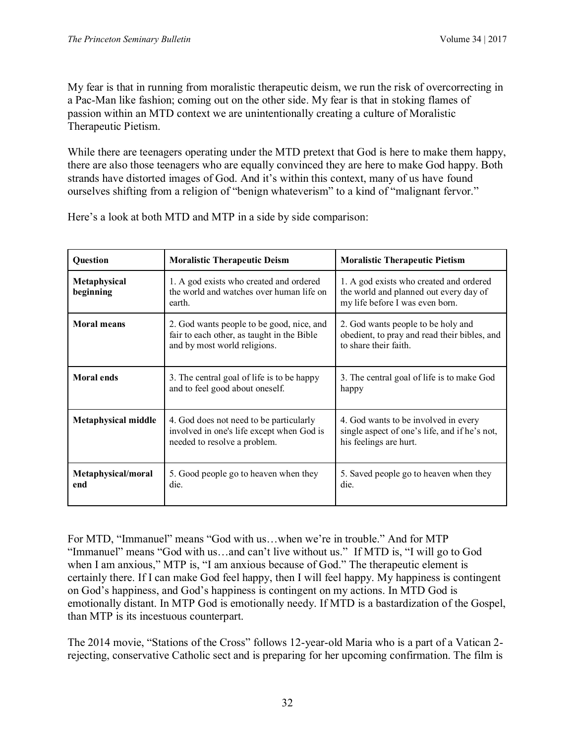My fear is that in running from moralistic therapeutic deism, we run the risk of overcorrecting in a Pac-Man like fashion; coming out on the other side. My fear is that in stoking flames of passion within an MTD context we are unintentionally creating a culture of Moralistic Therapeutic Pietism.

While there are teenagers operating under the MTD pretext that God is here to make them happy, there are also those teenagers who are equally convinced they are here to make God happy. Both strands have distorted images of God. And it's within this context, many of us have found ourselves shifting from a religion of "benign whateverism" to a kind of "malignant fervor."

| <b>Question</b>            | <b>Moralistic Therapeutic Deism</b>                                                                                     | <b>Moralistic Therapeutic Pietism</b>                                                                                |
|----------------------------|-------------------------------------------------------------------------------------------------------------------------|----------------------------------------------------------------------------------------------------------------------|
| Metaphysical<br>beginning  | 1. A god exists who created and ordered<br>the world and watches over human life on<br>earth.                           | 1. A god exists who created and ordered<br>the world and planned out every day of<br>my life before I was even born. |
| <b>Moral means</b>         | 2. God wants people to be good, nice, and<br>fair to each other, as taught in the Bible<br>and by most world religions. | 2. God wants people to be holy and<br>obedient, to pray and read their bibles, and<br>to share their faith.          |
| <b>Moral ends</b>          | 3. The central goal of life is to be happy<br>and to feel good about oneself.                                           | 3. The central goal of life is to make God<br>happy                                                                  |
| <b>Metaphysical middle</b> | 4. God does not need to be particularly<br>involved in one's life except when God is<br>needed to resolve a problem.    | 4. God wants to be involved in every<br>single aspect of one's life, and if he's not,<br>his feelings are hurt.      |
| Metaphysical/moral<br>end  | 5. Good people go to heaven when they<br>die.                                                                           | 5. Saved people go to heaven when they<br>die.                                                                       |

Here's a look at both MTD and MTP in a side by side comparison:

For MTD, "Immanuel" means "God with us…when we're in trouble." And for MTP "Immanuel" means "God with us…and can't live without us." If MTD is, "I will go to God when I am anxious," MTP is, "I am anxious because of God." The therapeutic element is certainly there. If I can make God feel happy, then I will feel happy. My happiness is contingent on God's happiness, and God's happiness is contingent on my actions. In MTD God is emotionally distant. In MTP God is emotionally needy. If MTD is a bastardization of the Gospel, than MTP is its incestuous counterpart.

The 2014 movie, "Stations of the Cross" follows 12-year-old Maria who is a part of a Vatican 2 rejecting, conservative Catholic sect and is preparing for her upcoming confirmation. The film is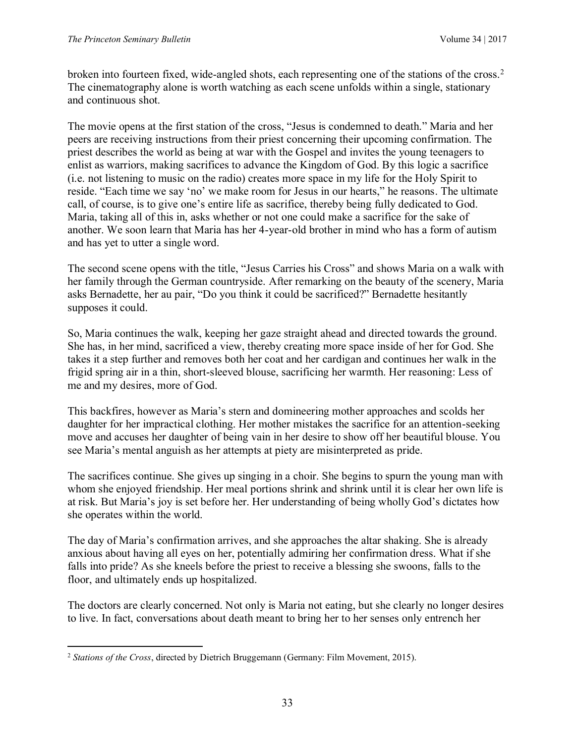broken into fourteen fixed, wide-angled shots, each representing one of the stations of the cross.2 The cinematography alone is worth watching as each scene unfolds within a single, stationary and continuous shot.

The movie opens at the first station of the cross, "Jesus is condemned to death." Maria and her peers are receiving instructions from their priest concerning their upcoming confirmation. The priest describes the world as being at war with the Gospel and invites the young teenagers to enlist as warriors, making sacrifices to advance the Kingdom of God. By this logic a sacrifice (i.e. not listening to music on the radio) creates more space in my life for the Holy Spirit to reside. "Each time we say 'no' we make room for Jesus in our hearts," he reasons. The ultimate call, of course, is to give one's entire life as sacrifice, thereby being fully dedicated to God. Maria, taking all of this in, asks whether or not one could make a sacrifice for the sake of another. We soon learn that Maria has her 4-year-old brother in mind who has a form of autism and has yet to utter a single word.

The second scene opens with the title, "Jesus Carries his Cross" and shows Maria on a walk with her family through the German countryside. After remarking on the beauty of the scenery, Maria asks Bernadette, her au pair, "Do you think it could be sacrificed?" Bernadette hesitantly supposes it could.

So, Maria continues the walk, keeping her gaze straight ahead and directed towards the ground. She has, in her mind, sacrificed a view, thereby creating more space inside of her for God. She takes it a step further and removes both her coat and her cardigan and continues her walk in the frigid spring air in a thin, short-sleeved blouse, sacrificing her warmth. Her reasoning: Less of me and my desires, more of God.

This backfires, however as Maria's stern and domineering mother approaches and scolds her daughter for her impractical clothing. Her mother mistakes the sacrifice for an attention-seeking move and accuses her daughter of being vain in her desire to show off her beautiful blouse. You see Maria's mental anguish as her attempts at piety are misinterpreted as pride.

The sacrifices continue. She gives up singing in a choir. She begins to spurn the young man with whom she enjoyed friendship. Her meal portions shrink and shrink until it is clear her own life is at risk. But Maria's joy is set before her. Her understanding of being wholly God's dictates how she operates within the world.

The day of Maria's confirmation arrives, and she approaches the altar shaking. She is already anxious about having all eyes on her, potentially admiring her confirmation dress. What if she falls into pride? As she kneels before the priest to receive a blessing she swoons, falls to the floor, and ultimately ends up hospitalized.

The doctors are clearly concerned. Not only is Maria not eating, but she clearly no longer desires to live. In fact, conversations about death meant to bring her to her senses only entrench her

 $\overline{a}$ 

<sup>2</sup> *Stations of the Cross*, directed by Dietrich Bruggemann (Germany: Film Movement, 2015).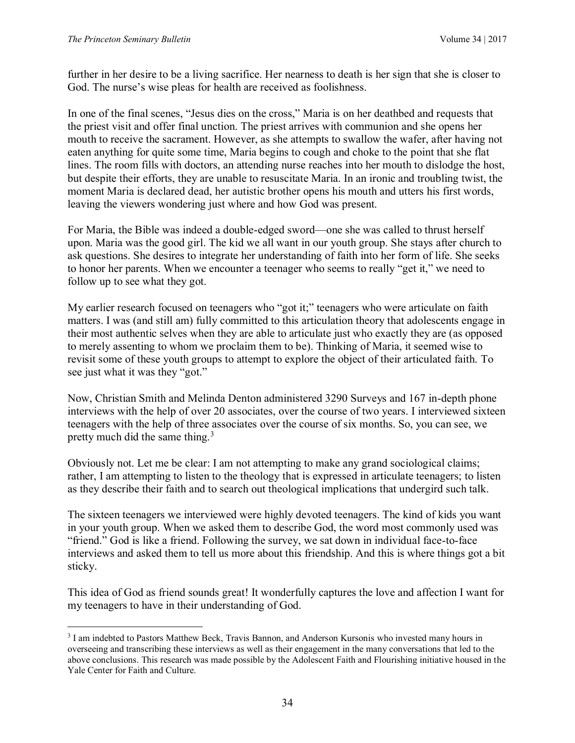$\overline{a}$ 

further in her desire to be a living sacrifice. Her nearness to death is her sign that she is closer to God. The nurse's wise pleas for health are received as foolishness.

In one of the final scenes, "Jesus dies on the cross," Maria is on her deathbed and requests that the priest visit and offer final unction. The priest arrives with communion and she opens her mouth to receive the sacrament. However, as she attempts to swallow the wafer, after having not eaten anything for quite some time, Maria begins to cough and choke to the point that she flat lines. The room fills with doctors, an attending nurse reaches into her mouth to dislodge the host, but despite their efforts, they are unable to resuscitate Maria. In an ironic and troubling twist, the moment Maria is declared dead, her autistic brother opens his mouth and utters his first words, leaving the viewers wondering just where and how God was present.

For Maria, the Bible was indeed a double-edged sword—one she was called to thrust herself upon. Maria was the good girl. The kid we all want in our youth group. She stays after church to ask questions. She desires to integrate her understanding of faith into her form of life. She seeks to honor her parents. When we encounter a teenager who seems to really "get it," we need to follow up to see what they got.

My earlier research focused on teenagers who "got it;" teenagers who were articulate on faith matters. I was (and still am) fully committed to this articulation theory that adolescents engage in their most authentic selves when they are able to articulate just who exactly they are (as opposed to merely assenting to whom we proclaim them to be). Thinking of Maria, it seemed wise to revisit some of these youth groups to attempt to explore the object of their articulated faith. To see just what it was they "got."

Now, Christian Smith and Melinda Denton administered 3290 Surveys and 167 in-depth phone interviews with the help of over 20 associates, over the course of two years. I interviewed sixteen teenagers with the help of three associates over the course of six months. So, you can see, we pretty much did the same thing.<sup>3</sup>

Obviously not. Let me be clear: I am not attempting to make any grand sociological claims; rather, I am attempting to listen to the theology that is expressed in articulate teenagers; to listen as they describe their faith and to search out theological implications that undergird such talk.

The sixteen teenagers we interviewed were highly devoted teenagers. The kind of kids you want in your youth group. When we asked them to describe God, the word most commonly used was "friend." God is like a friend. Following the survey, we sat down in individual face-to-face interviews and asked them to tell us more about this friendship. And this is where things got a bit sticky.

This idea of God as friend sounds great! It wonderfully captures the love and affection I want for my teenagers to have in their understanding of God.

<sup>3</sup> I am indebted to Pastors Matthew Beck, Travis Bannon, and Anderson Kursonis who invested many hours in overseeing and transcribing these interviews as well as their engagement in the many conversations that led to the above conclusions. This research was made possible by the Adolescent Faith and Flourishing initiative housed in the Yale Center for Faith and Culture.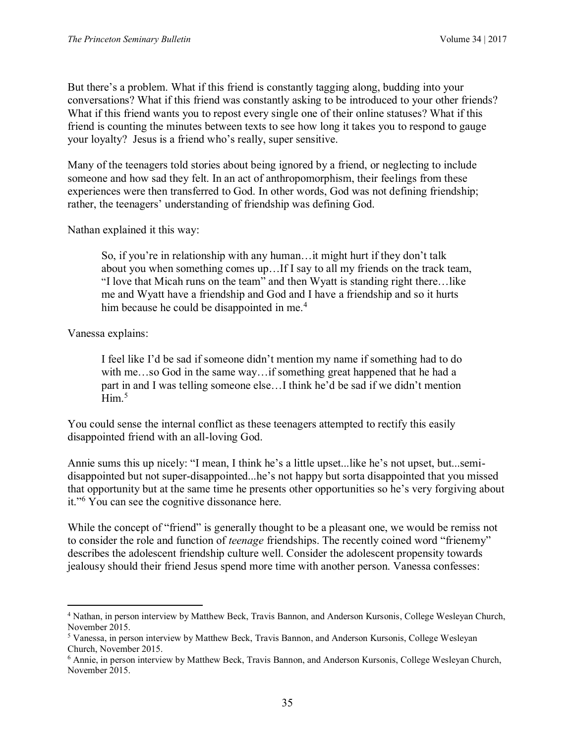But there's a problem. What if this friend is constantly tagging along, budding into your conversations? What if this friend was constantly asking to be introduced to your other friends? What if this friend wants you to repost every single one of their online statuses? What if this friend is counting the minutes between texts to see how long it takes you to respond to gauge your loyalty? Jesus is a friend who's really, super sensitive.

Many of the teenagers told stories about being ignored by a friend, or neglecting to include someone and how sad they felt. In an act of anthropomorphism, their feelings from these experiences were then transferred to God. In other words, God was not defining friendship; rather, the teenagers' understanding of friendship was defining God.

Nathan explained it this way:

So, if you're in relationship with any human…it might hurt if they don't talk about you when something comes up…If I say to all my friends on the track team, "I love that Micah runs on the team" and then Wyatt is standing right there…like me and Wyatt have a friendship and God and I have a friendship and so it hurts him because he could be disappointed in me.<sup>4</sup>

Vanessa explains:

 $\overline{a}$ 

I feel like I'd be sad if someone didn't mention my name if something had to do with me…so God in the same way…if something great happened that he had a part in and I was telling someone else…I think he'd be sad if we didn't mention  $Him.<sup>5</sup>$ 

You could sense the internal conflict as these teenagers attempted to rectify this easily disappointed friend with an all-loving God.

Annie sums this up nicely: "I mean, I think he's a little upset...like he's not upset, but...semidisappointed but not super-disappointed...he's not happy but sorta disappointed that you missed that opportunity but at the same time he presents other opportunities so he's very forgiving about it."<sup>6</sup> You can see the cognitive dissonance here.

While the concept of "friend" is generally thought to be a pleasant one, we would be remiss not to consider the role and function of *teenage* friendships. The recently coined word "frienemy" describes the adolescent friendship culture well. Consider the adolescent propensity towards jealousy should their friend Jesus spend more time with another person. Vanessa confesses:

<sup>4</sup> Nathan, in person interview by Matthew Beck, Travis Bannon, and Anderson Kursonis, College Wesleyan Church, November 2015.

<sup>5</sup> Vanessa, in person interview by Matthew Beck, Travis Bannon, and Anderson Kursonis, College Wesleyan Church, November 2015.

<sup>6</sup> Annie, in person interview by Matthew Beck, Travis Bannon, and Anderson Kursonis, College Wesleyan Church, November 2015.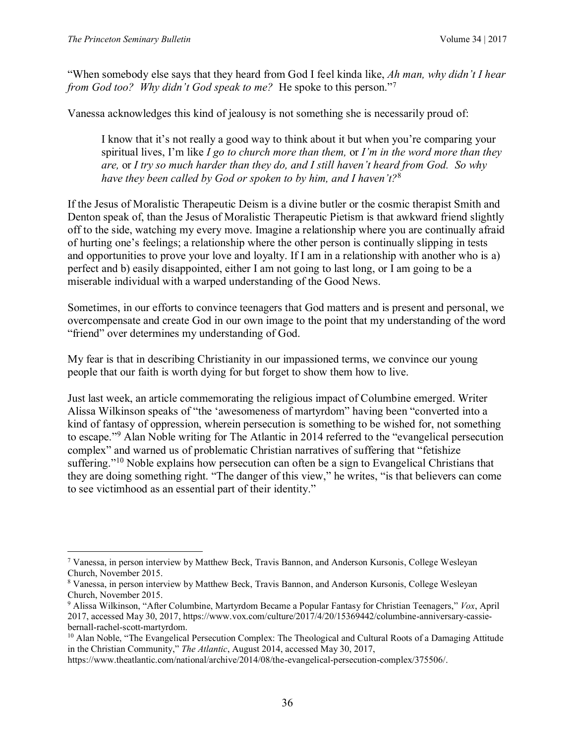$\overline{a}$ 

"When somebody else says that they heard from God I feel kinda like, *Ah man, why didn't I hear from God too? Why didn't God speak to me?* He spoke to this person."<sup>7</sup>

Vanessa acknowledges this kind of jealousy is not something she is necessarily proud of:

I know that it's not really a good way to think about it but when you're comparing your spiritual lives, I'm like *I go to church more than them,* or *I'm in the word more than they are,* or *I try so much harder than they do, and I still haven't heard from God. So why have they been called by God or spoken to by him, and I haven't?*<sup>8</sup>

If the Jesus of Moralistic Therapeutic Deism is a divine butler or the cosmic therapist Smith and Denton speak of, than the Jesus of Moralistic Therapeutic Pietism is that awkward friend slightly off to the side, watching my every move. Imagine a relationship where you are continually afraid of hurting one's feelings; a relationship where the other person is continually slipping in tests and opportunities to prove your love and loyalty. If I am in a relationship with another who is a) perfect and b) easily disappointed, either I am not going to last long, or I am going to be a miserable individual with a warped understanding of the Good News.

Sometimes, in our efforts to convince teenagers that God matters and is present and personal, we overcompensate and create God in our own image to the point that my understanding of the word "friend" over determines my understanding of God.

My fear is that in describing Christianity in our impassioned terms, we convince our young people that our faith is worth dying for but forget to show them how to live.

Just last week, an article commemorating the religious impact of Columbine emerged. Writer Alissa Wilkinson speaks of "the 'awesomeness of martyrdom" having been "converted into a kind of fantasy of oppression, wherein persecution is something to be wished for, not something to escape."<sup>9</sup> Alan Noble writing for The Atlantic in 2014 referred to the "evangelical persecution complex" and warned us of problematic Christian narratives of suffering that "fetishize suffering."<sup>10</sup> Noble explains how persecution can often be a sign to Evangelical Christians that they are doing something right. "The danger of this view," he writes, "is that believers can come to see victimhood as an essential part of their identity."

<sup>7</sup> Vanessa, in person interview by Matthew Beck, Travis Bannon, and Anderson Kursonis, College Wesleyan Church, November 2015.

<sup>8</sup> Vanessa, in person interview by Matthew Beck, Travis Bannon, and Anderson Kursonis, College Wesleyan Church, November 2015.

<sup>9</sup> Alissa Wilkinson, "After Columbine, Martyrdom Became a Popular Fantasy for Christian Teenagers," *Vox*, April 2017, accessed May 30, 2017, https://www.vox.com/culture/2017/4/20/15369442/columbine-anniversary-cassiebernall-rachel-scott-martyrdom.

<sup>&</sup>lt;sup>10</sup> Alan Noble, "The Evangelical Persecution Complex: The Theological and Cultural Roots of a Damaging Attitude in the Christian Community," *The Atlantic*, August 2014, accessed May 30, 2017,

https://www.theatlantic.com/national/archive/2014/08/the-evangelical-persecution-complex/375506/.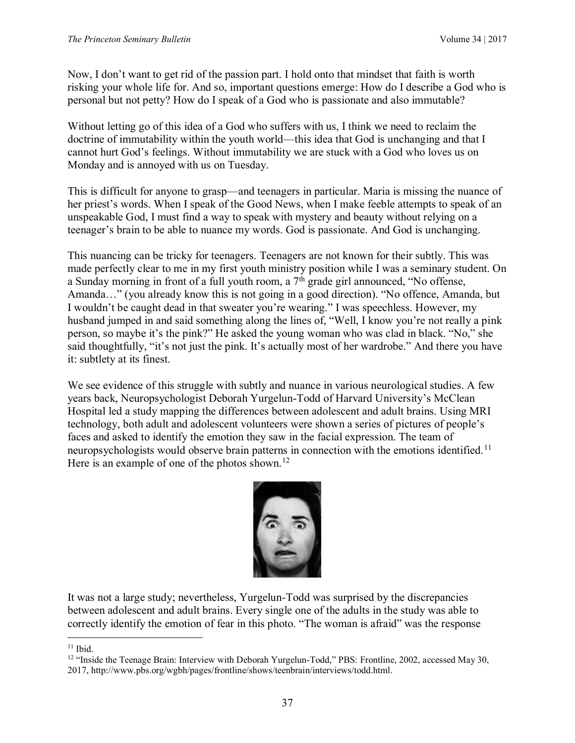Now, I don't want to get rid of the passion part. I hold onto that mindset that faith is worth risking your whole life for. And so, important questions emerge: How do I describe a God who is personal but not petty? How do I speak of a God who is passionate and also immutable?

Without letting go of this idea of a God who suffers with us, I think we need to reclaim the doctrine of immutability within the youth world—this idea that God is unchanging and that I cannot hurt God's feelings. Without immutability we are stuck with a God who loves us on Monday and is annoyed with us on Tuesday.

This is difficult for anyone to grasp—and teenagers in particular. Maria is missing the nuance of her priest's words. When I speak of the Good News, when I make feeble attempts to speak of an unspeakable God, I must find a way to speak with mystery and beauty without relying on a teenager's brain to be able to nuance my words. God is passionate. And God is unchanging.

This nuancing can be tricky for teenagers. Teenagers are not known for their subtly. This was made perfectly clear to me in my first youth ministry position while I was a seminary student. On a Sunday morning in front of a full youth room, a  $7<sup>th</sup>$  grade girl announced, "No offense, Amanda…" (you already know this is not going in a good direction). "No offence, Amanda, but I wouldn't be caught dead in that sweater you're wearing." I was speechless. However, my husband jumped in and said something along the lines of, "Well, I know you're not really a pink person, so maybe it's the pink?" He asked the young woman who was clad in black. "No," she said thoughtfully, "it's not just the pink. It's actually most of her wardrobe." And there you have it: subtlety at its finest.

We see evidence of this struggle with subtly and nuance in various neurological studies. A few years back, Neuropsychologist Deborah Yurgelun-Todd of Harvard University's McClean Hospital led a study mapping the differences between adolescent and adult brains. Using MRI technology, both adult and adolescent volunteers were shown a series of pictures of people's faces and asked to identify the emotion they saw in the facial expression. The team of neuropsychologists would observe brain patterns in connection with the emotions identified.<sup>11</sup> Here is an example of one of the photos shown.<sup>12</sup>



It was not a large study; nevertheless, Yurgelun-Todd was surprised by the discrepancies between adolescent and adult brains. Every single one of the adults in the study was able to correctly identify the emotion of fear in this photo. "The woman is afraid" was the response

 $\overline{a}$  $11$  Ibid.

<sup>&</sup>lt;sup>12</sup> "Inside the Teenage Brain: Interview with Deborah Yurgelun-Todd," PBS: Frontline, 2002, accessed May 30, 2017, http://www.pbs.org/wgbh/pages/frontline/shows/teenbrain/interviews/todd.html.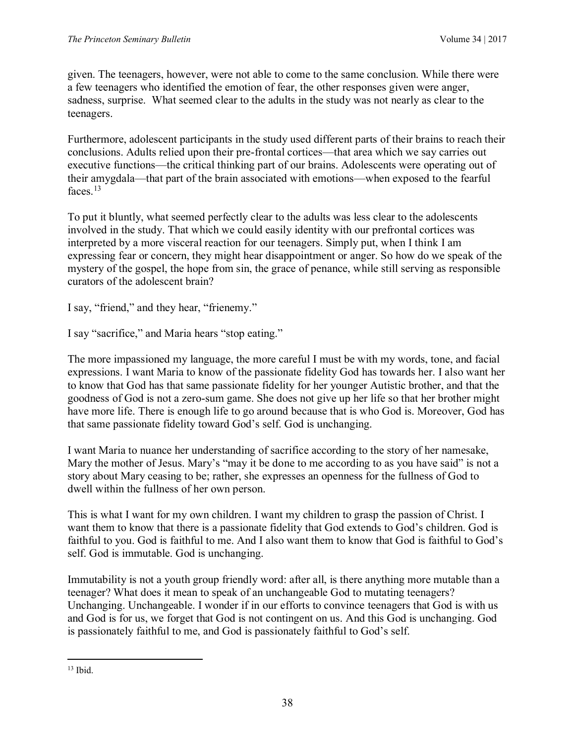given. The teenagers, however, were not able to come to the same conclusion. While there were a few teenagers who identified the emotion of fear, the other responses given were anger, sadness, surprise. What seemed clear to the adults in the study was not nearly as clear to the teenagers.

Furthermore, adolescent participants in the study used different parts of their brains to reach their conclusions. Adults relied upon their pre-frontal cortices—that area which we say carries out executive functions—the critical thinking part of our brains. Adolescents were operating out of their amygdala—that part of the brain associated with emotions—when exposed to the fearful faces<sup>13</sup>

To put it bluntly, what seemed perfectly clear to the adults was less clear to the adolescents involved in the study. That which we could easily identity with our prefrontal cortices was interpreted by a more visceral reaction for our teenagers. Simply put, when I think I am expressing fear or concern, they might hear disappointment or anger. So how do we speak of the mystery of the gospel, the hope from sin, the grace of penance, while still serving as responsible curators of the adolescent brain?

I say, "friend," and they hear, "frienemy."

I say "sacrifice," and Maria hears "stop eating."

The more impassioned my language, the more careful I must be with my words, tone, and facial expressions. I want Maria to know of the passionate fidelity God has towards her. I also want her to know that God has that same passionate fidelity for her younger Autistic brother, and that the goodness of God is not a zero-sum game. She does not give up her life so that her brother might have more life. There is enough life to go around because that is who God is. Moreover, God has that same passionate fidelity toward God's self. God is unchanging.

I want Maria to nuance her understanding of sacrifice according to the story of her namesake, Mary the mother of Jesus. Mary's "may it be done to me according to as you have said" is not a story about Mary ceasing to be; rather, she expresses an openness for the fullness of God to dwell within the fullness of her own person.

This is what I want for my own children. I want my children to grasp the passion of Christ. I want them to know that there is a passionate fidelity that God extends to God's children. God is faithful to you. God is faithful to me. And I also want them to know that God is faithful to God's self. God is immutable. God is unchanging.

Immutability is not a youth group friendly word: after all, is there anything more mutable than a teenager? What does it mean to speak of an unchangeable God to mutating teenagers? Unchanging. Unchangeable. I wonder if in our efforts to convince teenagers that God is with us and God is for us, we forget that God is not contingent on us. And this God is unchanging. God is passionately faithful to me, and God is passionately faithful to God's self.

 $\overline{a}$  $13$  Ibid.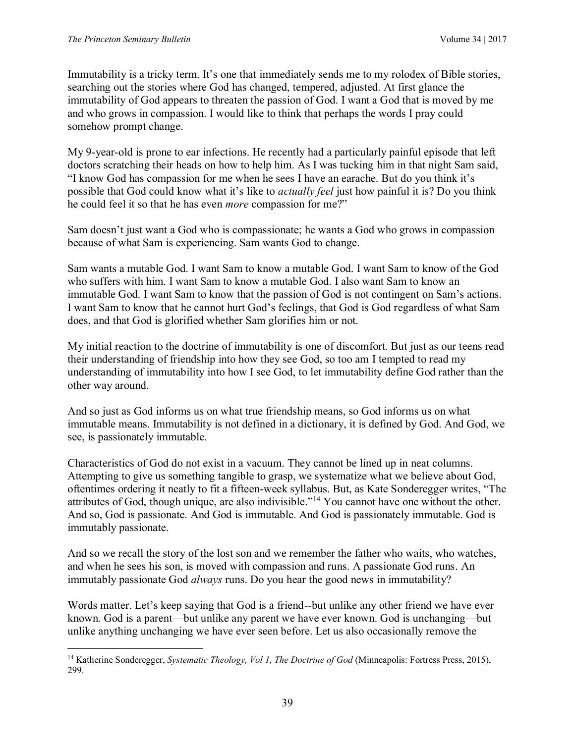$\overline{a}$ 

Immutability is a tricky term. It's one that immediately sends me to my rolodex of Bible stories, searching out the stories where God has changed, tempered, adjusted. At first glance the immutability of God appears to threaten the passion of God. I want a God that is moved by me and who grows in compassion. I would like to think that perhaps the words I pray could somehow prompt change.

My 9-year-old is prone to ear infections. He recently had a particularly painful episode that left doctors scratching their heads on how to help him. As I was tucking him in that night Sam said, "I know God has compassion for me when he sees I have an earache. But do you think it's possible that God could know what it's like to *actually feel* just how painful it is? Do you think he could feel it so that he has even *more* compassion for me?"

Sam doesn't just want a God who is compassionate; he wants a God who grows in compassion because of what Sam is experiencing. Sam wants God to change.

Sam wants a mutable God. I want Sam to know a mutable God. I want Sam to know of the God who suffers with him. I want Sam to know a mutable God. I also want Sam to know an immutable God. I want Sam to know that the passion of God is not contingent on Sam's actions. I want Sam to know that he cannot hurt God's feelings, that God is God regardless of what Sam does, and that God is glorified whether Sam glorifies him or not.

My initial reaction to the doctrine of immutability is one of discomfort. But just as our teens read their understanding of friendship into how they see God, so too am I tempted to read my understanding of immutability into how I see God, to let immutability define God rather than the other way around.

And so just as God informs us on what true friendship means, so God informs us on what immutable means. Immutability is not defined in a dictionary, it is defined by God. And God, we see, is passionately immutable.

Characteristics of God do not exist in a vacuum. They cannot be lined up in neat columns. Attempting to give us something tangible to grasp, we systematize what we believe about God, oftentimes ordering it neatly to fit a fifteen-week syllabus. But, as Kate Sonderegger writes, "The attributes of God, though unique, are also indivisible."<sup>14</sup> You cannot have one without the other. And so, God is passionate. And God is immutable. And God is passionately immutable. God is immutably passionate.

And so we recall the story of the lost son and we remember the father who waits, who watches, and when he sees his son, is moved with compassion and runs. A passionate God runs. An immutably passionate God *always* runs. Do you hear the good news in immutability?

Words matter. Let's keep saying that God is a friend--but unlike any other friend we have ever known. God is a parent—but unlike any parent we have ever known. God is unchanging—but unlike anything unchanging we have ever seen before. Let us also occasionally remove the

<sup>14</sup> Katherine Sonderegger, *Systematic Theology, Vol 1, The Doctrine of God* (Minneapolis: Fortress Press, 2015), 299.